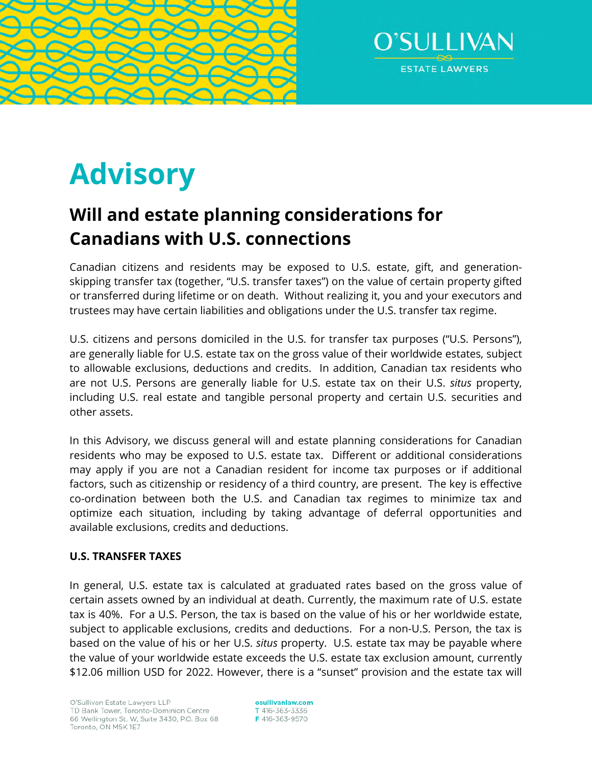



# **Advisory**

# **Will and estate planning considerations for Canadians with U.S. connections**

Canadian citizens and residents may be exposed to U.S. estate, gift, and generationskipping transfer tax (together, "U.S. transfer taxes") on the value of certain property gifted or transferred during lifetime or on death. Without realizing it, you and your executors and trustees may have certain liabilities and obligations under the U.S. transfer tax regime.

U.S. citizens and persons domiciled in the U.S. for transfer tax purposes ("U.S. Persons"), are generally liable for U.S. estate tax on the gross value of their worldwide estates, subject to allowable exclusions, deductions and credits. In addition, Canadian tax residents who are not U.S. Persons are generally liable for U.S. estate tax on their U.S. *situs* property, including U.S. real estate and tangible personal property and certain U.S. securities and other assets.

In this Advisory, we discuss general will and estate planning considerations for Canadian residents who may be exposed to U.S. estate tax. Different or additional considerations may apply if you are not a Canadian resident for income tax purposes or if additional factors, such as citizenship or residency of a third country, are present. The key is effective co-ordination between both the U.S. and Canadian tax regimes to minimize tax and optimize each situation, including by taking advantage of deferral opportunities and available exclusions, credits and deductions.

# **U.S. TRANSFER TAXES**

In general, U.S. estate tax is calculated at graduated rates based on the gross value of certain assets owned by an individual at death. Currently, the maximum rate of U.S. estate tax is 40%. For a U.S. Person, the tax is based on the value of his or her worldwide estate, subject to applicable exclusions, credits and deductions. For a non-U.S. Person, the tax is based on the value of his or her U.S. *situs* property. U.S. estate tax may be payable where the value of your worldwide estate exceeds the U.S. estate tax exclusion amount, currently \$12.06 million USD for 2022. However, there is a "sunset" provision and the estate tax will

osullivanlaw.com T 416-363-3336 F 416-363-9570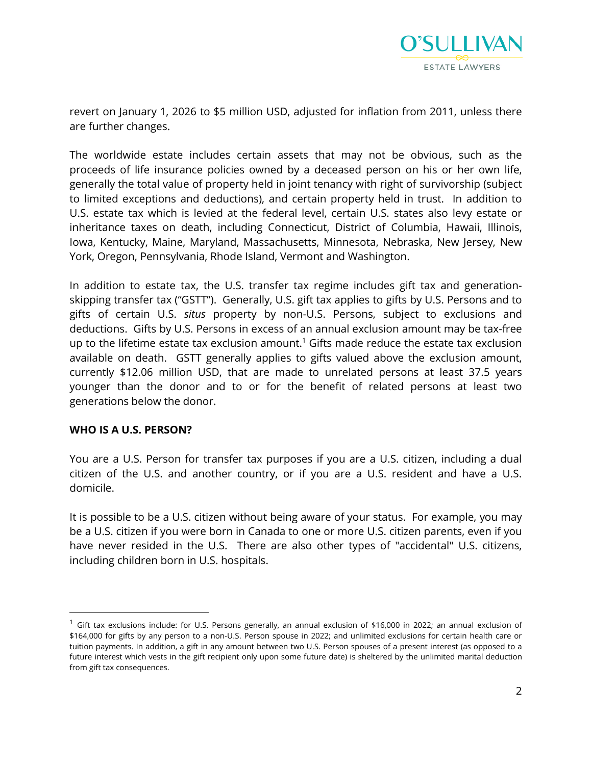

revert on January 1, 2026 to \$5 million USD, adjusted for inflation from 2011, unless there are further changes.

The worldwide estate includes certain assets that may not be obvious, such as the proceeds of life insurance policies owned by a deceased person on his or her own life, generally the total value of property held in joint tenancy with right of survivorship (subject to limited exceptions and deductions), and certain property held in trust. In addition to U.S. estate tax which is levied at the federal level, certain U.S. states also levy estate or inheritance taxes on death, including Connecticut, District of Columbia, Hawaii, Illinois, Iowa, Kentucky, Maine, Maryland, Massachusetts, Minnesota, Nebraska, New Jersey, New York, Oregon, Pennsylvania, Rhode Island, Vermont and Washington.

In addition to estate tax, the U.S. transfer tax regime includes gift tax and generationskipping transfer tax ("GSTT"). Generally, U.S. gift tax applies to gifts by U.S. Persons and to gifts of certain U.S. *situs* property by non-U.S. Persons, subject to exclusions and deductions. Gifts by U.S. Persons in excess of an annual exclusion amount may be tax-free up to the lifetime estate tax exclusion amount.<sup>[1](#page-1-0)</sup> Gifts made reduce the estate tax exclusion available on death. GSTT generally applies to gifts valued above the exclusion amount, currently \$12.06 million USD, that are made to unrelated persons at least 37.5 years younger than the donor and to or for the benefit of related persons at least two generations below the donor.

#### **WHO IS A U.S. PERSON?**

You are a U.S. Person for transfer tax purposes if you are a U.S. citizen, including a dual citizen of the U.S. and another country, or if you are a U.S. resident and have a U.S. domicile.

It is possible to be a U.S. citizen without being aware of your status. For example, you may be a U.S. citizen if you were born in Canada to one or more U.S. citizen parents, even if you have never resided in the U.S. There are also other types of "accidental" U.S. citizens, including children born in U.S. hospitals.

<span id="page-1-0"></span> $^1$  Gift tax exclusions include: for U.S. Persons generally, an annual exclusion of \$16,000 in 2022; an annual exclusion of \$164,000 for gifts by any person to a non-U.S. Person spouse in 2022; and unlimited exclusions for certain health care or tuition payments. In addition, a gift in any amount between two U.S. Person spouses of a present interest (as opposed to a future interest which vests in the gift recipient only upon some future date) is sheltered by the unlimited marital deduction from gift tax consequences.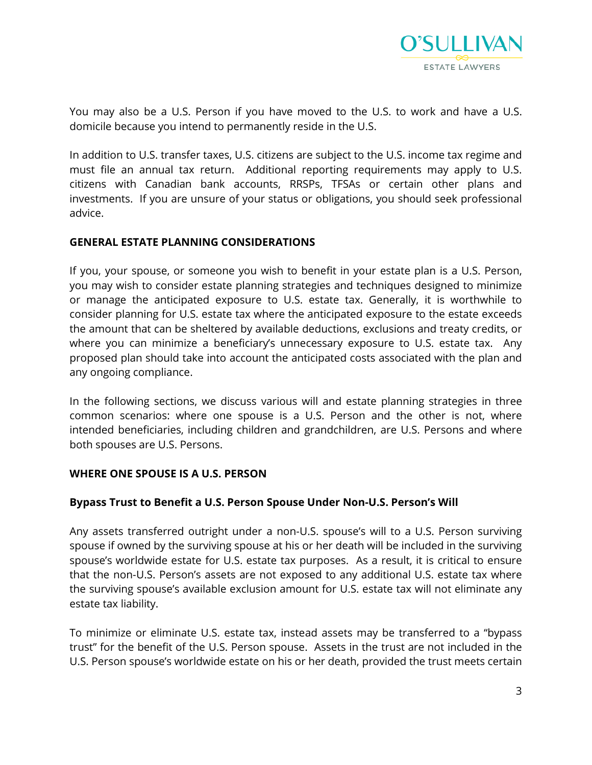

You may also be a U.S. Person if you have moved to the U.S. to work and have a U.S. domicile because you intend to permanently reside in the U.S.

In addition to U.S. transfer taxes, U.S. citizens are subject to the U.S. income tax regime and must file an annual tax return. Additional reporting requirements may apply to U.S. citizens with Canadian bank accounts, RRSPs, TFSAs or certain other plans and investments. If you are unsure of your status or obligations, you should seek professional advice.

#### **GENERAL ESTATE PLANNING CONSIDERATIONS**

If you, your spouse, or someone you wish to benefit in your estate plan is a U.S. Person, you may wish to consider estate planning strategies and techniques designed to minimize or manage the anticipated exposure to U.S. estate tax. Generally, it is worthwhile to consider planning for U.S. estate tax where the anticipated exposure to the estate exceeds the amount that can be sheltered by available deductions, exclusions and treaty credits, or where you can minimize a beneficiary's unnecessary exposure to U.S. estate tax. Any proposed plan should take into account the anticipated costs associated with the plan and any ongoing compliance.

In the following sections, we discuss various will and estate planning strategies in three common scenarios: where one spouse is a U.S. Person and the other is not, where intended beneficiaries, including children and grandchildren, are U.S. Persons and where both spouses are U.S. Persons.

#### **WHERE ONE SPOUSE IS A U.S. PERSON**

#### **Bypass Trust to Benefit a U.S. Person Spouse Under Non-U.S. Person's Will**

Any assets transferred outright under a non-U.S. spouse's will to a U.S. Person surviving spouse if owned by the surviving spouse at his or her death will be included in the surviving spouse's worldwide estate for U.S. estate tax purposes. As a result, it is critical to ensure that the non-U.S. Person's assets are not exposed to any additional U.S. estate tax where the surviving spouse's available exclusion amount for U.S. estate tax will not eliminate any estate tax liability.

To minimize or eliminate U.S. estate tax, instead assets may be transferred to a "bypass trust" for the benefit of the U.S. Person spouse. Assets in the trust are not included in the U.S. Person spouse's worldwide estate on his or her death, provided the trust meets certain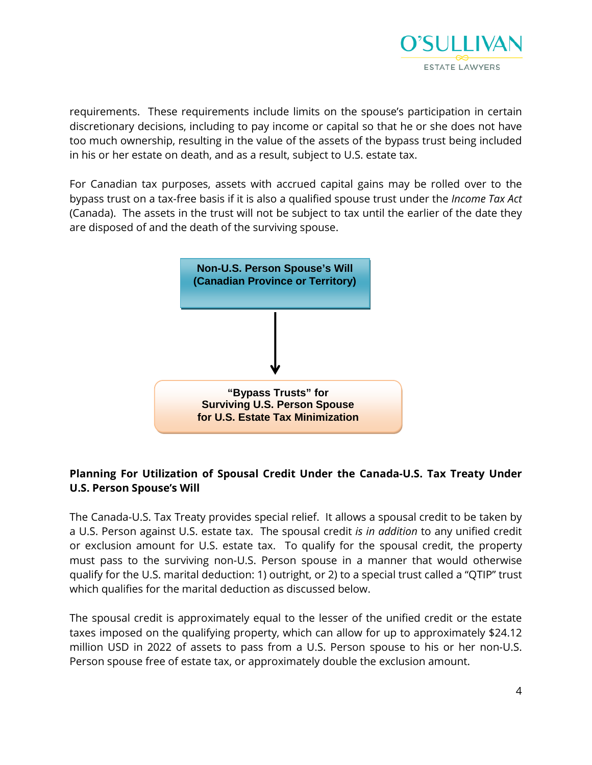

requirements. These requirements include limits on the spouse's participation in certain discretionary decisions, including to pay income or capital so that he or she does not have too much ownership, resulting in the value of the assets of the bypass trust being included in his or her estate on death, and as a result, subject to U.S. estate tax.

For Canadian tax purposes, assets with accrued capital gains may be rolled over to the bypass trust on a tax-free basis if it is also a qualified spouse trust under the *Income Tax Act*  (Canada). The assets in the trust will not be subject to tax until the earlier of the date they are disposed of and the death of the surviving spouse.



# **Planning For Utilization of Spousal Credit Under the Canada-U.S. Tax Treaty Under U.S. Person Spouse's Will**

The Canada-U.S. Tax Treaty provides special relief. It allows a spousal credit to be taken by a U.S. Person against U.S. estate tax. The spousal credit *is in addition* to any unified credit or exclusion amount for U.S. estate tax. To qualify for the spousal credit, the property must pass to the surviving non-U.S. Person spouse in a manner that would otherwise qualify for the U.S. marital deduction: 1) outright, or 2) to a special trust called a "QTIP" trust which qualifies for the marital deduction as discussed below.

The spousal credit is approximately equal to the lesser of the unified credit or the estate taxes imposed on the qualifying property, which can allow for up to approximately \$24.12 million USD in 2022 of assets to pass from a U.S. Person spouse to his or her non-U.S. Person spouse free of estate tax, or approximately double the exclusion amount.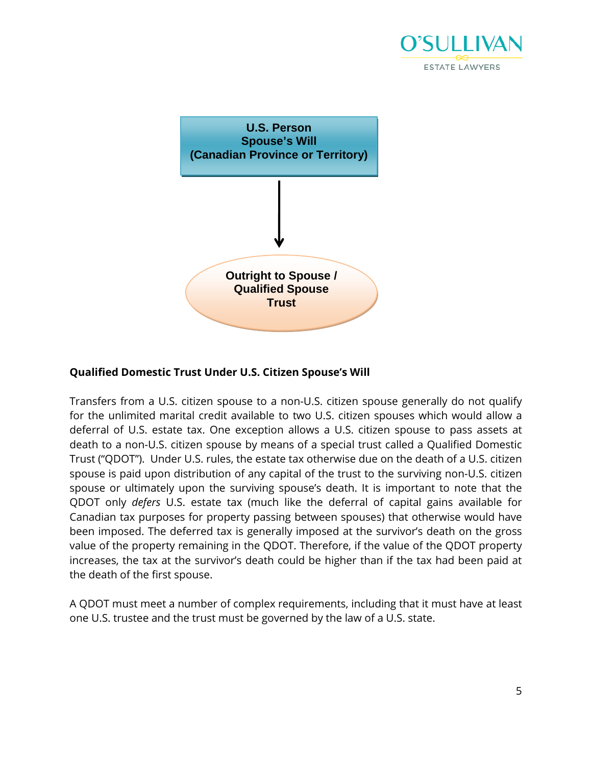



# **Qualified Domestic Trust Under U.S. Citizen Spouse's Will**

Transfers from a U.S. citizen spouse to a non-U.S. citizen spouse generally do not qualify for the unlimited marital credit available to two U.S. citizen spouses which would allow a deferral of U.S. estate tax. One exception allows a U.S. citizen spouse to pass assets at death to a non-U.S. citizen spouse by means of a special trust called a Qualified Domestic Trust ("QDOT"). Under U.S. rules, the estate tax otherwise due on the death of a U.S. citizen spouse is paid upon distribution of any capital of the trust to the surviving non-U.S. citizen spouse or ultimately upon the surviving spouse's death. It is important to note that the QDOT only *defers* U.S. estate tax (much like the deferral of capital gains available for Canadian tax purposes for property passing between spouses) that otherwise would have been imposed. The deferred tax is generally imposed at the survivor's death on the gross value of the property remaining in the QDOT. Therefore, if the value of the QDOT property increases, the tax at the survivor's death could be higher than if the tax had been paid at the death of the first spouse.

A QDOT must meet a number of complex requirements, including that it must have at least one U.S. trustee and the trust must be governed by the law of a U.S. state.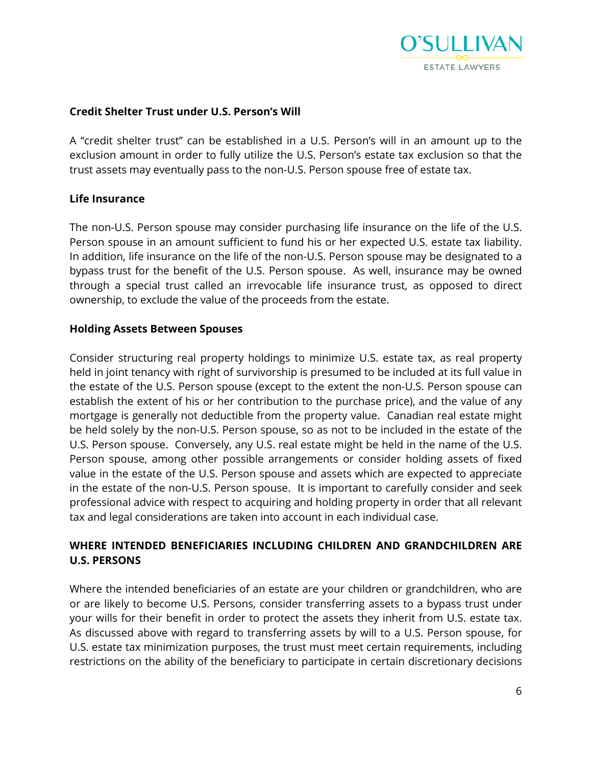

# **Credit Shelter Trust under U.S. Person's Will**

A "credit shelter trust" can be established in a U.S. Person's will in an amount up to the exclusion amount in order to fully utilize the U.S. Person's estate tax exclusion so that the trust assets may eventually pass to the non-U.S. Person spouse free of estate tax.

# **Life Insurance**

The non-U.S. Person spouse may consider purchasing life insurance on the life of the U.S. Person spouse in an amount sufficient to fund his or her expected U.S. estate tax liability. In addition, life insurance on the life of the non-U.S. Person spouse may be designated to a bypass trust for the benefit of the U.S. Person spouse. As well, insurance may be owned through a special trust called an irrevocable life insurance trust, as opposed to direct ownership, to exclude the value of the proceeds from the estate.

#### **Holding Assets Between Spouses**

Consider structuring real property holdings to minimize U.S. estate tax, as real property held in joint tenancy with right of survivorship is presumed to be included at its full value in the estate of the U.S. Person spouse (except to the extent the non-U.S. Person spouse can establish the extent of his or her contribution to the purchase price), and the value of any mortgage is generally not deductible from the property value. Canadian real estate might be held solely by the non-U.S. Person spouse, so as not to be included in the estate of the U.S. Person spouse. Conversely, any U.S. real estate might be held in the name of the U.S. Person spouse, among other possible arrangements or consider holding assets of fixed value in the estate of the U.S. Person spouse and assets which are expected to appreciate in the estate of the non-U.S. Person spouse. It is important to carefully consider and seek professional advice with respect to acquiring and holding property in order that all relevant tax and legal considerations are taken into account in each individual case.

# **WHERE INTENDED BENEFICIARIES INCLUDING CHILDREN AND GRANDCHILDREN ARE U.S. PERSONS**

Where the intended beneficiaries of an estate are your children or grandchildren, who are or are likely to become U.S. Persons, consider transferring assets to a bypass trust under your wills for their benefit in order to protect the assets they inherit from U.S. estate tax. As discussed above with regard to transferring assets by will to a U.S. Person spouse, for U.S. estate tax minimization purposes, the trust must meet certain requirements, including restrictions on the ability of the beneficiary to participate in certain discretionary decisions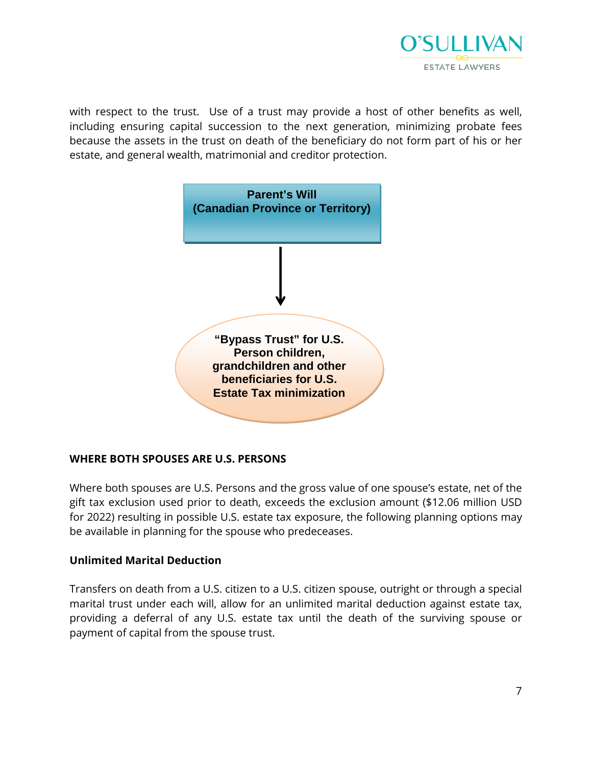

with respect to the trust. Use of a trust may provide a host of other benefits as well, including ensuring capital succession to the next generation, minimizing probate fees because the assets in the trust on death of the beneficiary do not form part of his or her estate, and general wealth, matrimonial and creditor protection.



# **WHERE BOTH SPOUSES ARE U.S. PERSONS**

Where both spouses are U.S. Persons and the gross value of one spouse's estate, net of the gift tax exclusion used prior to death, exceeds the exclusion amount (\$12.06 million USD for 2022) resulting in possible U.S. estate tax exposure, the following planning options may be available in planning for the spouse who predeceases.

# **Unlimited Marital Deduction**

Transfers on death from a U.S. citizen to a U.S. citizen spouse, outright or through a special marital trust under each will, allow for an unlimited marital deduction against estate tax, providing a deferral of any U.S. estate tax until the death of the surviving spouse or payment of capital from the spouse trust.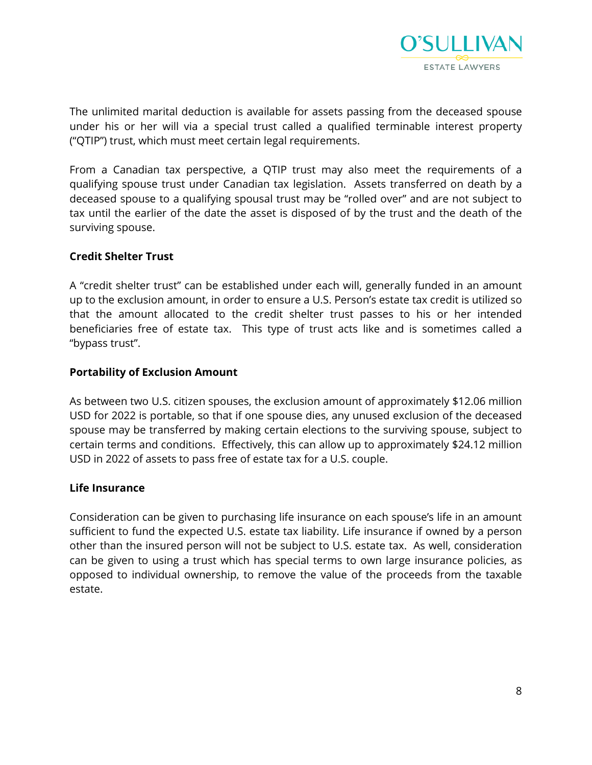

The unlimited marital deduction is available for assets passing from the deceased spouse under his or her will via a special trust called a qualified terminable interest property ("QTIP") trust, which must meet certain legal requirements.

From a Canadian tax perspective, a QTIP trust may also meet the requirements of a qualifying spouse trust under Canadian tax legislation. Assets transferred on death by a deceased spouse to a qualifying spousal trust may be "rolled over" and are not subject to tax until the earlier of the date the asset is disposed of by the trust and the death of the surviving spouse.

# **Credit Shelter Trust**

A "credit shelter trust" can be established under each will, generally funded in an amount up to the exclusion amount, in order to ensure a U.S. Person's estate tax credit is utilized so that the amount allocated to the credit shelter trust passes to his or her intended beneficiaries free of estate tax. This type of trust acts like and is sometimes called a "bypass trust".

#### **Portability of Exclusion Amount**

As between two U.S. citizen spouses, the exclusion amount of approximately \$12.06 million USD for 2022 is portable, so that if one spouse dies, any unused exclusion of the deceased spouse may be transferred by making certain elections to the surviving spouse, subject to certain terms and conditions. Effectively, this can allow up to approximately \$24.12 million USD in 2022 of assets to pass free of estate tax for a U.S. couple.

#### **Life Insurance**

Consideration can be given to purchasing life insurance on each spouse's life in an amount sufficient to fund the expected U.S. estate tax liability. Life insurance if owned by a person other than the insured person will not be subject to U.S. estate tax. As well, consideration can be given to using a trust which has special terms to own large insurance policies, as opposed to individual ownership, to remove the value of the proceeds from the taxable estate.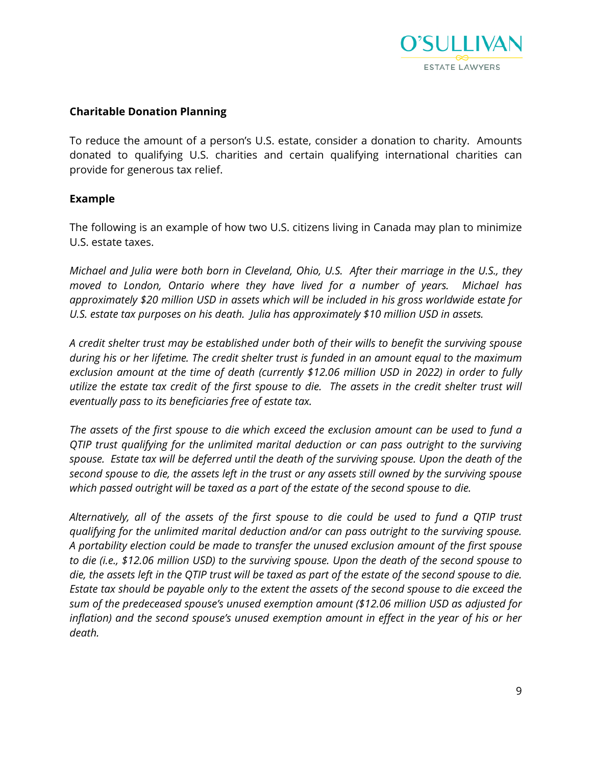

# **Charitable Donation Planning**

To reduce the amount of a person's U.S. estate, consider a donation to charity. Amounts donated to qualifying U.S. charities and certain qualifying international charities can provide for generous tax relief.

# **Example**

The following is an example of how two U.S. citizens living in Canada may plan to minimize U.S. estate taxes.

*Michael and Julia were both born in Cleveland, Ohio, U.S. After their marriage in the U.S., they moved to London, Ontario where they have lived for a number of years. Michael has approximately \$20 million USD in assets which will be included in his gross worldwide estate for U.S. estate tax purposes on his death. Julia has approximately \$10 million USD in assets.* 

*A credit shelter trust may be established under both of their wills to benefit the surviving spouse during his or her lifetime. The credit shelter trust is funded in an amount equal to the maximum exclusion amount at the time of death (currently \$12.06 million USD in 2022) in order to fully utilize the estate tax credit of the first spouse to die. The assets in the credit shelter trust will eventually pass to its beneficiaries free of estate tax.* 

*The assets of the first spouse to die which exceed the exclusion amount can be used to fund a QTIP trust qualifying for the unlimited marital deduction or can pass outright to the surviving spouse. Estate tax will be deferred until the death of the surviving spouse. Upon the death of the second spouse to die, the assets left in the trust or any assets still owned by the surviving spouse which passed outright will be taxed as a part of the estate of the second spouse to die.* 

*Alternatively, all of the assets of the first spouse to die could be used to fund a QTIP trust qualifying for the unlimited marital deduction and/or can pass outright to the surviving spouse. A portability election could be made to transfer the unused exclusion amount of the first spouse to die (i.e., \$12.06 million USD) to the surviving spouse. Upon the death of the second spouse to die, the assets left in the QTIP trust will be taxed as part of the estate of the second spouse to die. Estate tax should be payable only to the extent the assets of the second spouse to die exceed the sum of the predeceased spouse's unused exemption amount (\$12.06 million USD as adjusted for*  inflation) and the second spouse's unused exemption amount in effect in the year of his or her *death.*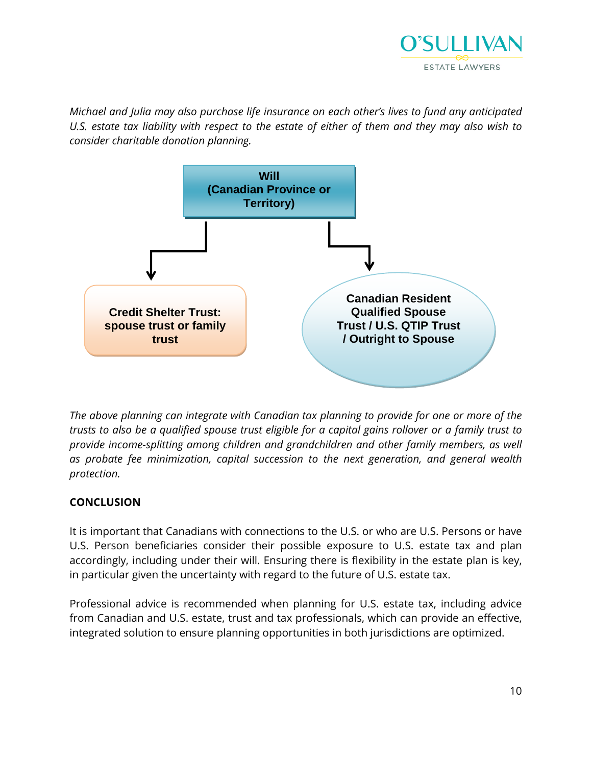

*Michael and Julia may also purchase life insurance on each other's lives to fund any anticipated U.S. estate tax liability with respect to the estate of either of them and they may also wish to consider charitable donation planning.* 



*The above planning can integrate with Canadian tax planning to provide for one or more of the trusts to also be a qualified spouse trust eligible for a capital gains rollover or a family trust to provide income-splitting among children and grandchildren and other family members, as well as probate fee minimization, capital succession to the next generation, and general wealth protection.* 

# **CONCLUSION**

It is important that Canadians with connections to the U.S. or who are U.S. Persons or have U.S. Person beneficiaries consider their possible exposure to U.S. estate tax and plan accordingly, including under their will. Ensuring there is flexibility in the estate plan is key, in particular given the uncertainty with regard to the future of U.S. estate tax.

Professional advice is recommended when planning for U.S. estate tax, including advice from Canadian and U.S. estate, trust and tax professionals, which can provide an effective, integrated solution to ensure planning opportunities in both jurisdictions are optimized.